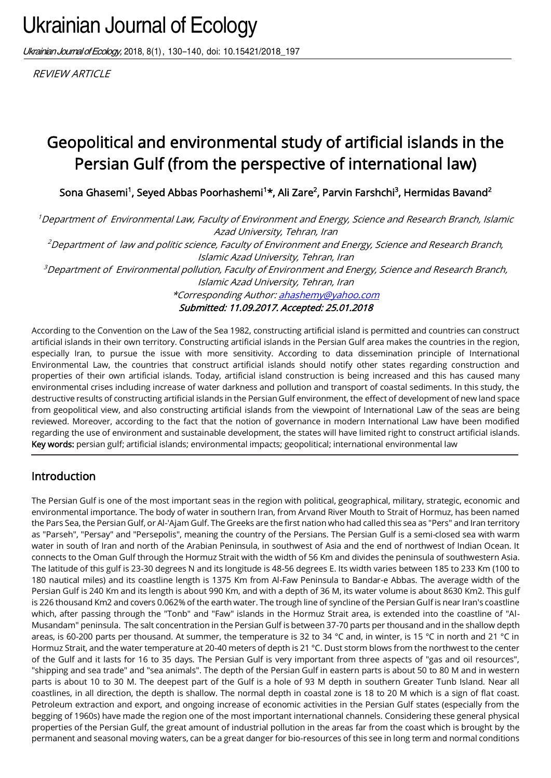# Ukrainian Journal of Ecology

Ukrainian Journal of Ecology, 2018, 8(1), 130-140, doi: 10.15421/2018\_197

**REVIEW ARTICLE** 

## Geopolitical and environmental study of artificial islands in the Persian Gulf (from the perspective of international law)

Sona Ghasemi<sup>1</sup>, Seyed Abbas Poorhashemi<sup>1</sup>\*, Ali Zare<sup>2</sup>, Parvin Farshchi<sup>3</sup>, Hermidas Bavand<sup>2</sup>

<sup>1</sup>Department of Environmental Law, Faculty of Environment and Energy, Science and Research Branch, Islamic Azad University, Tehran, Iran <sup>2</sup>Department of law and politic science, Faculty of Environment and Energy, Science and Research Branch, Islamic Azad University, Tehran, Iran  ${}^{3}$ Department of Environmental pollution, Faculty of Environment and Energy, Science and Research Branch, Islamic Azad University, Tehran, Iran \*Corresponding Author[: ahashemy@yahoo.com](mailto:ahashemy@yahoo.com)

Submitted: 11.09.2017. Accepted: 25.01.2018

According to the Convention on the Law of the Sea 1982, constructing artificial island is permitted and countries can construct artificial islands in their own territory. Constructing artificial islands in the Persian Gulf area makes the countries in the region, especially Iran, to pursue the issue with more sensitivity. According to data dissemination principle of International Environmental Law, the countries that construct artificial islands should notify other states regarding construction and properties of their own artificial islands. Today, artificial island construction is being increased and this has caused many environmental crises including increase of water darkness and pollution and transport of coastal sediments. In this study, the destructive results of constructing artificial islands in the Persian Gulf environment, the effect of development of new land space from geopolitical view, and also constructing artificial islands from the viewpoint of International Law of the seas are being reviewed. Moreover, according to the fact that the notion of governance in modern International Law have been modified regarding the use of environment and sustainable development, the states will have limited right to construct artificial islands. Key words: persian gulf; artificial islands; environmental impacts; geopolitical; international environmental law

#### Introduction

The Persian Gulf is one of the most important seas in the region with political, geographical, military, strategic, economic and environmental importance. The body of water in southern Iran, from Arvand River Mouth to Strait of Hormuz, has been named the Pars Sea, the Persian Gulf, or Al-'Ajam Gulf. The Greeks are the first nation who had called this sea as "Pers" and Iran territory as "Parseh", "Persay" and "Persepolis", meaning the country of the Persians. The Persian Gulf is a semi-closed sea with warm water in south of Iran and north of the Arabian Peninsula, in southwest of Asia and the end of northwest of Indian Ocean. It connects to the Oman Gulf through the Hormuz Strait with the width of 56 Km and divides the peninsula of southwestern Asia. The latitude of this gulf is 23-30 degrees N and its longitude is 48-56 degrees E. Its width varies between 185 to 233 Km (100 to 180 nautical miles) and its coastline length is 1375 Km from Al-Faw Peninsula to Bandar-e Abbas. The average width of the Persian Gulf is 240 Km and its length is about 990 Km, and with a depth of 36 M, its water volume is about 8630 Km2. This gulf is 226 thousand Km2 and covers 0.062% of the earth water. The trough line of syncline of the Persian Gulf is near Iran's coastline which, after passing through the "Tonb" and "Faw" islands in the Hormuz Strait area, is extended into the coastline of "Al-Musandam" peninsula. The salt concentration in the Persian Gulf is between 37-70 parts per thousand and in the shallow depth areas, is 60-200 parts per thousand. At summer, the temperature is 32 to 34 °C and, in winter, is 15 °C in north and 21 °C in Hormuz Strait, and the water temperature at 20-40 meters of depth is 21 °C. Dust storm blows from the northwest to the center of the Gulf and it lasts for 16 to 35 days. The Persian Gulf is very important from three aspects of "gas and oil resources", "shipping and sea trade" and "sea animals". The depth of the Persian Gulf in eastern parts is about 50 to 80 M and in western parts is about 10 to 30 M. The deepest part of the Gulf is a hole of 93 M depth in southern Greater Tunb Island. Near all coastlines, in all direction, the depth is shallow. The normal depth in coastal zone is 18 to 20 M which is a sign of flat coast. Petroleum extraction and export, and ongoing increase of economic activities in the Persian Gulf states (especially from the begging of 1960s) have made the region one of the most important international channels. Considering these general physical properties of the Persian Gulf, the great amount of industrial pollution in the areas far from the coast which is brought by the permanent and seasonal moving waters, can be a great danger for bio-resources of this see in long term and normal conditions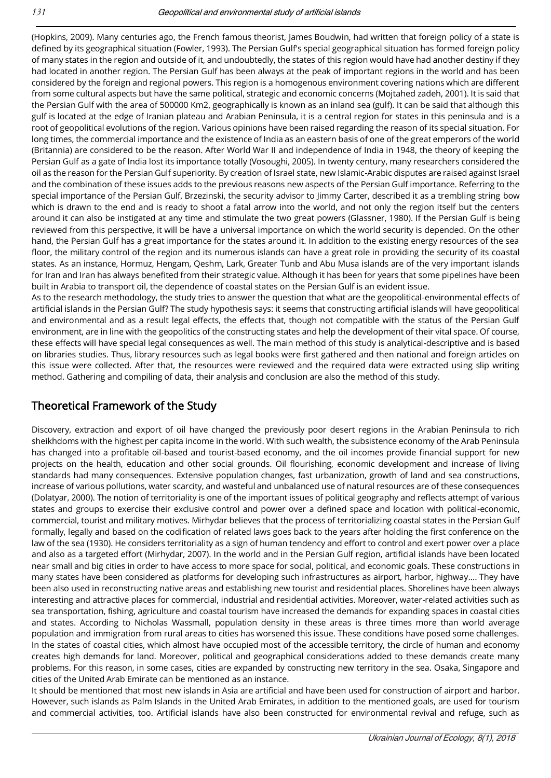(Hopkins, 2009). Many centuries ago, the French famous theorist, James Boudwin, had written that foreign policy of a state is defined by its geographical situation (Fowler, 1993). The Persian Gulf's special geographical situation has formed foreign policy of many states in the region and outside of it, and undoubtedly, the states of this region would have had another destiny if they had located in another region. The Persian Gulf has been always at the peak of important regions in the world and has been considered by the foreign and regional powers. This region is a homogenous environment covering nations which are different from some cultural aspects but have the same political, strategic and economic concerns (Mojtahed zadeh, 2001). It is said that the Persian Gulf with the area of 500000 Km2, geographically is known as an inland sea (gulf). It can be said that although this gulf is located at the edge of Iranian plateau and Arabian Peninsula, it is a central region for states in this peninsula and is a root of geopolitical evolutions of the region. Various opinions have been raised regarding the reason of its special situation. For long times, the commercial importance and the existence of India as an eastern basis of one of the great emperors of the world (Britannia) are considered to be the reason. After World War II and independence of India in 1948, the theory of keeping the Persian Gulf as a gate of India lost its importance totally (Vosoughi, 2005). In twenty century, many researchers considered the oil as the reason for the Persian Gulf superiority. By creation of Israel state, new Islamic-Arabic disputes are raised against Israel and the combination of these issues adds to the previous reasons new aspects of the Persian Gulf importance. Referring to the special importance of the Persian Gulf, Brzezinski, the security advisor to Jimmy Carter, described it as a trembling string bow which is drawn to the end and is ready to shoot a fatal arrow into the world, and not only the region itself but the centers around it can also be instigated at any time and stimulate the two great powers (Glassner, 1980). If the Persian Gulf is being reviewed from this perspective, it will be have a universal importance on which the world security is depended. On the other hand, the Persian Gulf has a great importance for the states around it. In addition to the existing energy resources of the sea floor, the military control of the region and its numerous islands can have a great role in providing the security of its coastal states. As an instance, Hormuz, Hengam, Qeshm, Lark, Greater Tunb and Abu Musa islands are of the very important islands for Iran and Iran has always benefited from their strategic value. Although it has been for years that some pipelines have been built in Arabia to transport oil, the dependence of coastal states on the Persian Gulf is an evident issue.

As to the research methodology, the study tries to answer the question that what are the geopolitical-environmental effects of artificial islands in the Persian Gulf? The study hypothesis says: it seems that constructing artificial islands will have geopolitical and environmental and as a result legal effects, the effects that, though not compatible with the status of the Persian Gulf environment, are in line with the geopolitics of the constructing states and help the development of their vital space. Of course, these effects will have special legal consequences as well. The main method of this study is analytical-descriptive and is based on libraries studies. Thus, library resources such as legal books were first gathered and then national and foreign articles on this issue were collected. After that, the resources were reviewed and the required data were extracted using slip writing method. Gathering and compiling of data, their analysis and conclusion are also the method of this study.

#### Theoretical Framework of the Study

Discovery, extraction and export of oil have changed the previously poor desert regions in the Arabian Peninsula to rich sheikhdoms with the highest per capita income in the world. With such wealth, the subsistence economy of the Arab Peninsula has changed into a profitable oil-based and tourist-based economy, and the oil incomes provide financial support for new projects on the health, education and other social grounds. Oil flourishing, economic development and increase of living standards had many consequences. Extensive population changes, fast urbanization, growth of land and sea constructions, increase of various pollutions, water scarcity, and wasteful and unbalanced use of natural resources are of these consequences (Dolatyar, 2000). The notion of territoriality is one of the important issues of political geography and reflects attempt of various states and groups to exercise their exclusive control and power over a defined space and location with political-economic, commercial, tourist and military motives. Mirhydar believes that the process of territorializing coastal states in the Persian Gulf formally, legally and based on the codification of related laws goes back to the years after holding the first conference on the law of the sea (1930). He considers territoriality as a sign of human tendency and effort to control and exert power over a place and also as a targeted effort (Mirhydar, 2007). In the world and in the Persian Gulf region, artificial islands have been located near small and big cities in order to have access to more space for social, political, and economic goals. These constructions in many states have been considered as platforms for developing such infrastructures as airport, harbor, highway.... They have been also used in reconstructing native areas and establishing new tourist and residential places. Shorelines have been always interesting and attractive places for commercial, industrial and residential activities. Moreover, water-related activities such as sea transportation, fishing, agriculture and coastal tourism have increased the demands for expanding spaces in coastal cities and states. According to Nicholas Wassmall, population density in these areas is three times more than world average population and immigration from rural areas to cities has worsened this issue. These conditions have posed some challenges. In the states of coastal cities, which almost have occupied most of the accessible territory, the circle of human and economy creates high demands for land. Moreover, political and geographical considerations added to these demands create many problems. For this reason, in some cases, cities are expanded by constructing new territory in the sea. Osaka, Singapore and cities of the United Arab Emirate can be mentioned as an instance.

It should be mentioned that most new islands in Asia are artificial and have been used for construction of airport and harbor. However, such islands as Palm Islands in the United Arab Emirates, in addition to the mentioned goals, are used for tourism and commercial activities, too. Artificial islands have also been constructed for environmental revival and refuge, such as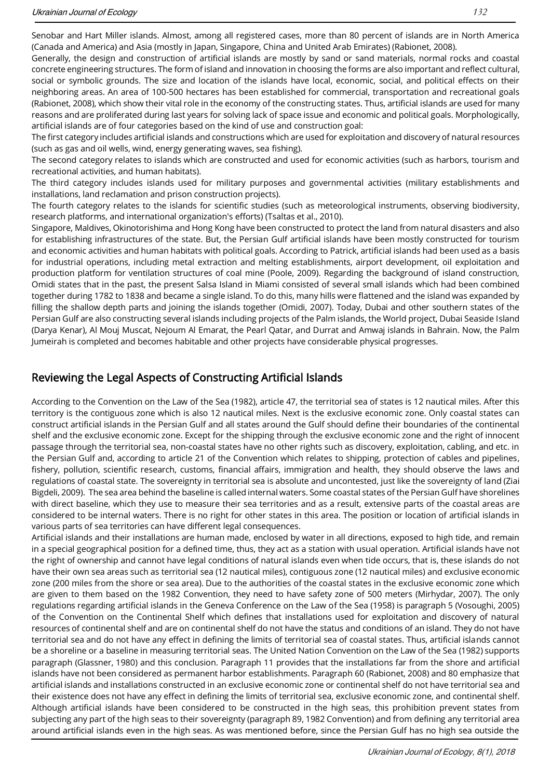Senobar and Hart Miller islands. Almost, among all registered cases, more than 80 percent of islands are in North America (Canada and America) and Asia (mostly in Japan, Singapore, China and United Arab Emirates) (Rabionet, 2008).

Generally, the design and construction of artificial islands are mostly by sand or sand materials, normal rocks and coastal concrete engineering structures. The form of island and innovation in choosing the forms are also important and reflect cultural, social or symbolic grounds. The size and location of the islands have local, economic, social, and political effects on their neighboring areas. An area of 100-500 hectares has been established for commercial, transportation and recreational goals (Rabionet, 2008), which show their vital role in the economy of the constructing states. Thus, artificial islands are used for many reasons and are proliferated during last years for solving lack of space issue and economic and political goals. Morphologically, artificial islands are of four categories based on the kind of use and construction goal:

The first category includes artificial islands and constructions which are used for exploitation and discovery of natural resources (such as gas and oil wells, wind, energy generating waves, sea fishing).

The second category relates to islands which are constructed and used for economic activities (such as harbors, tourism and recreational activities, and human habitats).

The third category includes islands used for military purposes and governmental activities (military establishments and installations, land reclamation and prison construction projects).

The fourth category relates to the islands for scientific studies (such as meteorological instruments, observing biodiversity, research platforms, and international organization's efforts) (Tsaltas et al., 2010).

Singapore, Maldives, Okinotorishima and Hong Kong have been constructed to protect the land from natural disasters and also for establishing infrastructures of the state. But, the Persian Gulf artificial islands have been mostly constructed for tourism and economic activities and human habitats with political goals. According to Patrick, artificial islands had been used as a basis for industrial operations, including metal extraction and melting establishments, airport development, oil exploitation and production platform for ventilation structures of coal mine (Poole, 2009). Regarding the background of island construction, Omidi states that in the past, the present Salsa Island in Miami consisted of several small islands which had been combined together during 1782 to 1838 and became a single island. To do this, many hills were flattened and the island was expanded by filling the shallow depth parts and joining the islands together (Omidi, 2007). Today, Dubai and other southern states of the Persian Gulf are also constructing several islands including projects of the Palm islands, the World project, Dubai Seaside Island (Darya Kenar), Al Mouj Muscat, Nejoum Al Emarat, the Pearl Qatar, and Durrat and Amwaj islands in Bahrain. Now, the Palm Jumeirah is completed and becomes habitable and other projects have considerable physical progresses.

#### Reviewing the Legal Aspects of Constructing Artificial Islands

According to the Convention on the Law of the Sea (1982), article 47, the territorial sea of states is 12 nautical miles. After this territory is the contiguous zone which is also 12 nautical miles. Next is the exclusive economic zone. Only coastal states can construct artificial islands in the Persian Gulf and all states around the Gulf should define their boundaries of the continental shelf and the exclusive economic zone. Except for the shipping through the exclusive economic zone and the right of innocent passage through the territorial sea, non-coastal states have no other rights such as discovery, exploitation, cabling, and etc. in the Persian Gulf and, according to article 21 of the Convention which relates to shipping, protection of cables and pipelines, fishery, pollution, scientific research, customs, financial affairs, immigration and health, they should observe the laws and regulations of coastal state. The sovereignty in territorial sea is absolute and uncontested, just like the sovereignty of land (Ziai Bigdeli, 2009). The sea area behind the baseline is called internal waters. Some coastal states of the Persian Gulf have shorelines with direct baseline, which they use to measure their sea territories and as a result, extensive parts of the coastal areas are considered to be internal waters. There is no right for other states in this area. The position or location of artificial islands in various parts of sea territories can have different legal consequences.

Artificial islands and their installations are human made, enclosed by water in all directions, exposed to high tide, and remain in a special geographical position for a defined time, thus, they act as a station with usual operation. Artificial islands have not the right of ownership and cannot have legal conditions of natural islands even when tide occurs, that is, these islands do not have their own sea areas such as territorial sea (12 nautical miles), contiguous zone (12 nautical miles) and exclusive economic zone (200 miles from the shore or sea area). Due to the authorities of the coastal states in the exclusive economic zone which are given to them based on the 1982 Convention, they need to have safety zone of 500 meters (Mirhydar, 2007). The only regulations regarding artificial islands in the Geneva Conference on the Law of the Sea (1958) is paragraph 5 (Vosoughi, 2005) of the Convention on the Continental Shelf which defines that installations used for exploitation and discovery of natural resources of continental shelf and are on continental shelf do not have the status and conditions of an island. They do not have territorial sea and do not have any effect in defining the limits of territorial sea of coastal states. Thus, artificial islands cannot be a shoreline or a baseline in measuring territorial seas. The United Nation Convention on the Law of the Sea (1982) supports paragraph (Glassner, 1980) and this conclusion. Paragraph 11 provides that the installations far from the shore and artificial islands have not been considered as permanent harbor establishments. Paragraph 60 (Rabionet, 2008) and 80 emphasize that artificial islands and installations constructed in an exclusive economic zone or continental shelf do not have territorial sea and their existence does not have any effect in defining the limits of territorial sea, exclusive economic zone, and continental shelf. Although artificial islands have been considered to be constructed in the high seas, this prohibition prevent states from subjecting any part of the high seas to their sovereignty (paragraph 89, 1982 Convention) and from defining any territorial area around artificial islands even in the high seas. As was mentioned before, since the Persian Gulf has no high sea outside the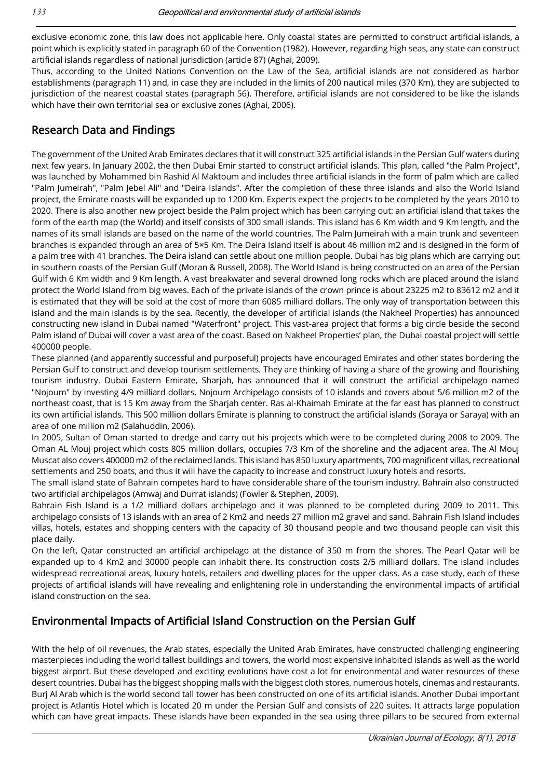exclusive economic zone, this law does not applicable here. Only coastal states are permitted to construct artificial islands, a point which is explicitly stated in paragraph 60 of the Convention (1982). However, regarding high seas, any state can construct artificial islands regardless of national jurisdiction (article 87) (Aghai, 2009).

Thus, according to the United Nations Convention on the Law of the Sea, artificial islands are not considered as harbor establishments (paragraph 11) and, in case they are included in the limits of 200 nautical miles (370 Km), they are subjected to jurisdiction of the nearest coastal states (paragraph 56). Therefore, artificial islands are not considered to be like the islands which have their own territorial sea or exclusive zones (Aghai, 2006).

#### Research Data and Findings

The government of the United Arab Emirates declares that it will construct 325 artificial islands in the Persian Gulf waters during next few years. In January 2002, the then Dubai Emir started to construct artificial islands. This plan, called "the Palm Project", was launched by Mohammed bin Rashid Al Maktoum and includes three artificial islands in the form of palm which are called "Palm Jumeirah", "Palm Jebel Ali" and "Deira Islands". After the completion of these three islands and also the World Island project, the Emirate coasts will be expanded up to 1200 Km. Experts expect the projects to be completed by the years 2010 to 2020. There is also another new project beside the Palm project which has been carrying out: an artificial island that takes the form of the earth map (the World) and itself consists of 300 small islands. This island has 6 Km width and 9 Km length, and the names of its small islands are based on the name of the world countries. The Palm Jumeirah with a main trunk and seventeen branches is expanded through an area of 5×5 Km. The Deira Island itself is about 46 million m2 and is designed in the form of a palm tree with 41 branches. The Deira island can settle about one million people. Dubai has big plans which are carrying out in southern coasts of the Persian Gulf (Moran & Russell, 2008). The World Island is being constructed on an area of the Persian Gulf with 6 Km width and 9 Km length. A vast breakwater and several drowned long rocks which are placed around the island protect the World Island from big waves. Each of the private islands of the crown prince is about 23225 m2 to 83612 m2 and it is estimated that they will be sold at the cost of more than 6085 milliard dollars. The only way of transportation between this island and the main islands is by the sea. Recently, the developer of artificial islands (the Nakheel Properties) has announced constructing new island in Dubai named "Waterfront" project. This vast-area project that forms a big circle beside the second Palm island of Dubai will cover a vast area of the coast. Based on Nakheel Properties' plan, the Dubai coastal project will settle 400000 people.

These planned (and apparently successful and purposeful) projects have encouraged Emirates and other states bordering the Persian Gulf to construct and develop tourism settlements. They are thinking of having a share of the growing and flourishing tourism industry. Dubai Eastern Emirate, Sharjah, has announced that it will construct the artificial archipelago named "Nojoum" by investing 4/9 milliard dollars. Nojoum Archipelago consists of 10 islands and covers about 5/6 million m2 of the northeast coast, that is 15 Km away from the Sharjah center. Ras al-Khaimah Emirate at the far east has planned to construct its own artificial islands. This 500 million dollars Emirate is planning to construct the artificial islands (Soraya or Saraya) with an area of one million m2 (Salahuddin, 2006).

In 2005, Sultan of Oman started to dredge and carry out his projects which were to be completed during 2008 to 2009. The Oman AL Mouj project which costs 805 million dollars, occupies 7/3 Km of the shoreline and the adjacent area. The Al Mouj Muscat also covers 400000 m2 of the reclaimed lands. This island has 850 luxury apartments, 700 magnificent villas, recreational settlements and 250 boats, and thus it will have the capacity to increase and construct luxury hotels and resorts.

The small island state of Bahrain competes hard to have considerable share of the tourism industry. Bahrain also constructed two artificial archipelagos (Amwaj and Durrat islands) (Fowler & Stephen, 2009).

Bahrain Fish Island is a 1/2 milliard dollars archipelago and it was planned to be completed during 2009 to 2011. This archipelago consists of 13 islands with an area of 2 Km2 and needs 27 million m2 gravel and sand. Bahrain Fish Island includes villas, hotels, estates and shopping centers with the capacity of 30 thousand people and two thousand people can visit this place daily.

On the left, Qatar constructed an artificial archipelago at the distance of 350 m from the shores. The Pearl Qatar will be expanded up to 4 Km2 and 30000 people can inhabit there. Its construction costs 2/5 milliard dollars. The island includes widespread recreational areas, luxury hotels, retailers and dwelling places for the upper class. As a case study, each of these projects of artificial islands will have revealing and enlightening role in understanding the environmental impacts of artificial island construction on the sea.

#### Environmental Impacts of Artificial Island Construction on the Persian Gulf

With the help of oil revenues, the Arab states, especially the United Arab Emirates, have constructed challenging engineering masterpieces including the world tallest buildings and towers, the world most expensive inhabited islands as well as the world biggest airport. But these developed and exciting evolutions have cost a lot for environmental and water resources of these desert countries. Dubai has the biggest shopping malls with the biggest cloth stores, numerous hotels, cinemas and restaurants. Burj Al Arab which is the world second tall tower has been constructed on one of its artificial islands. Another Dubai important project is Atlantis Hotel which is located 20 m under the Persian Gulf and consists of 220 suites. It attracts large population which can have great impacts. These islands have been expanded in the sea using three pillars to be secured from external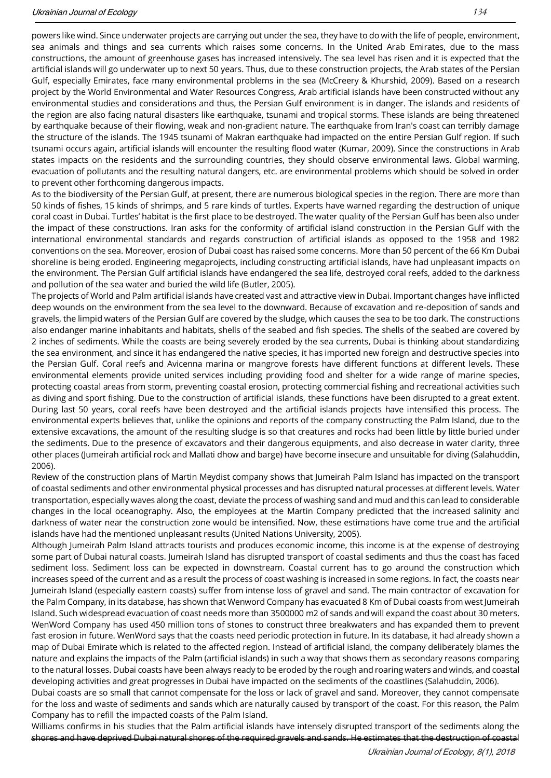powers like wind. Since underwater projects are carrying out under the sea, they have to do with the life of people, environment, sea animals and things and sea currents which raises some concerns. In the United Arab Emirates, due to the mass constructions, the amount of greenhouse gases has increased intensively. The sea level has risen and it is expected that the artificial islands will go underwater up to next 50 years. Thus, due to these construction projects, the Arab states of the Persian Gulf, especially Emirates, face many environmental problems in the sea (McCreery & Khurshid, 2009). Based on a research project by the World Environmental and Water Resources Congress, Arab artificial islands have been constructed without any environmental studies and considerations and thus, the Persian Gulf environment is in danger. The islands and residents of the region are also facing natural disasters like earthquake, tsunami and tropical storms. These islands are being threatened by earthquake because of their flowing, weak and non-gradient nature. The earthquake from Iran's coast can terribly damage the structure of the islands. The 1945 tsunami of Makran earthquake had impacted on the entire Persian Gulf region. If such tsunami occurs again, artificial islands will encounter the resulting flood water (Kumar, 2009). Since the constructions in Arab states impacts on the residents and the surrounding countries, they should observe environmental laws. Global warming, evacuation of pollutants and the resulting natural dangers, etc. are environmental problems which should be solved in order to prevent other forthcoming dangerous impacts.

As to the biodiversity of the Persian Gulf, at present, there are numerous biological species in the region. There are more than 50 kinds of fishes, 15 kinds of shrimps, and 5 rare kinds of turtles. Experts have warned regarding the destruction of unique coral coast in Dubai. Turtles' habitat is the first place to be destroyed. The water quality of the Persian Gulf has been also under the impact of these constructions. Iran asks for the conformity of artificial island construction in the Persian Gulf with the international environmental standards and regards construction of artificial islands as opposed to the 1958 and 1982 conventions on the sea. Moreover, erosion of Dubai coast has raised some concerns. More than 50 percent of the 66 Km Dubai shoreline is being eroded. Engineering megaprojects, including constructing artificial islands, have had unpleasant impacts on the environment. The Persian Gulf artificial islands have endangered the sea life, destroyed coral reefs, added to the darkness and pollution of the sea water and buried the wild life (Butler, 2005).

The projects of World and Palm artificial islands have created vast and attractive view in Dubai. Important changes have inflicted deep wounds on the environment from the sea level to the downward. Because of excavation and re-deposition of sands and gravels, the limpid waters of the Persian Gulf are covered by the sludge, which causes the sea to be too dark. The constructions also endanger marine inhabitants and habitats, shells of the seabed and fish species. The shells of the seabed are covered by 2 inches of sediments. While the coasts are being severely eroded by the sea currents, Dubai is thinking about standardizing the sea environment, and since it has endangered the native species, it has imported new foreign and destructive species into the Persian Gulf. Coral reefs and Avicenna marina or mangrove forests have different functions at different levels. These environmental elements provide united services including providing food and shelter for a wide range of marine species, protecting coastal areas from storm, preventing coastal erosion, protecting commercial fishing and recreational activities such as diving and sport fishing. Due to the construction of artificial islands, these functions have been disrupted to a great extent. During last 50 years, coral reefs have been destroyed and the artificial islands projects have intensified this process. The environmental experts believes that, unlike the opinions and reports of the company constructing the Palm Island, due to the extensive excavations, the amount of the resulting sludge is so that creatures and rocks had been little by little buried under the sediments. Due to the presence of excavators and their dangerous equipments, and also decrease in water clarity, three other places (Jumeirah artificial rock and Mallati dhow and barge) have become insecure and unsuitable for diving (Salahuddin, 2006).

Review of the construction plans of Martin Meydist company shows that Jumeirah Palm Island has impacted on the transport of coastal sediments and other environmental physical processes and has disrupted natural processes at different levels. Water transportation, especially waves along the coast, deviate the process of washing sand and mud and this can lead to considerable changes in the local oceanography. Also, the employees at the Martin Company predicted that the increased salinity and darkness of water near the construction zone would be intensified. Now, these estimations have come true and the artificial islands have had the mentioned unpleasant results (United Nations University, 2005).

Although Jumeirah Palm Island attracts tourists and produces economic income, this income is at the expense of destroying some part of Dubai natural coasts. Jumeirah Island has disrupted transport of coastal sediments and thus the coast has faced sediment loss. Sediment loss can be expected in downstream. Coastal current has to go around the construction which increases speed of the current and as a result the process of coast washing is increased in some regions. In fact, the coasts near Jumeirah Island (especially eastern coasts) suffer from intense loss of gravel and sand. The main contractor of excavation for the Palm Company, in its database, has shown that Wenword Company has evacuated 8 Km of Dubai coasts from west Jumeirah Island. Such widespread evacuation of coast needs more than 3500000 m2 of sands and will expand the coast about 30 meters. WenWord Company has used 450 million tons of stones to construct three breakwaters and has expanded them to prevent fast erosion in future. WenWord says that the coasts need periodic protection in future. In its database, it had already shown a map of Dubai Emirate which is related to the affected region. Instead of artificial island, the company deliberately blames the nature and explains the impacts of the Palm (artificial islands) in such a way that shows them as secondary reasons comparing to the natural losses. Dubai coasts have been always ready to be eroded by the rough and roaring waters and winds, and coastal developing activities and great progresses in Dubai have impacted on the sediments of the coastlines (Salahuddin, 2006).

Dubai coasts are so small that cannot compensate for the loss or lack of gravel and sand. Moreover, they cannot compensate for the loss and waste of sediments and sands which are naturally caused by transport of the coast. For this reason, the Palm Company has to refill the impacted coasts of the Palm Island.

Williams confirms in his studies that the Palm artificial islands have intensely disrupted transport of the sediments along the shores and have deprived Dubai natural shores of the required gravels and sands. He estimates that the destruction of coastal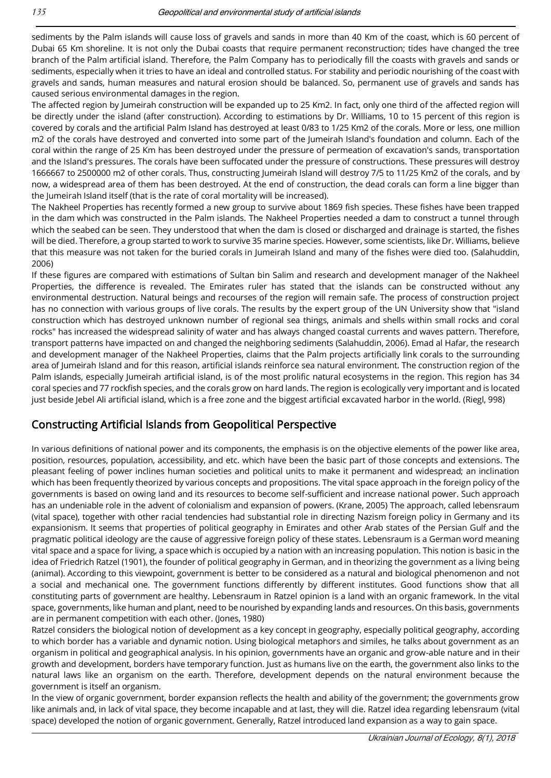sediments by the Palm islands will cause loss of gravels and sands in more than 40 Km of the coast, which is 60 percent of Dubai 65 Km shoreline. It is not only the Dubai coasts that require permanent reconstruction; tides have changed the tree branch of the Palm artificial island. Therefore, the Palm Company has to periodically fill the coasts with gravels and sands or sediments, especially when it tries to have an ideal and controlled status. For stability and periodic nourishing of the coast with gravels and sands, human measures and natural erosion should be balanced. So, permanent use of gravels and sands has caused serious environmental damages in the region.

The affected region by Jumeirah construction will be expanded up to 25 Km2. In fact, only one third of the affected region will be directly under the island (after construction). According to estimations by Dr. Williams, 10 to 15 percent of this region is covered by corals and the artificial Palm Island has destroyed at least 0/83 to 1/25 Km2 of the corals. More or less, one million m2 of the corals have destroyed and converted into some part of the Jumeirah Island's foundation and column. Each of the coral within the range of 25 Km has been destroyed under the pressure of permeation of excavation's sands, transportation and the Island's pressures. The corals have been suffocated under the pressure of constructions. These pressures will destroy 1666667 to 2500000 m2 of other corals. Thus, constructing Jumeirah Island will destroy 7/5 to 11/25 Km2 of the corals, and by now, a widespread area of them has been destroyed. At the end of construction, the dead corals can form a line bigger than the Jumeirah Island itself (that is the rate of coral mortality will be increased).

The Nakheel Properties has recently formed a new group to survive about 1869 fish species. These fishes have been trapped in the dam which was constructed in the Palm islands. The Nakheel Properties needed a dam to construct a tunnel through which the seabed can be seen. They understood that when the dam is closed or discharged and drainage is started, the fishes will be died. Therefore, a group started to work to survive 35 marine species. However, some scientists, like Dr. Williams, believe that this measure was not taken for the buried corals in Jumeirah Island and many of the fishes were died too. (Salahuddin, 2006)

If these figures are compared with estimations of Sultan bin Salim and research and development manager of the Nakheel Properties, the difference is revealed. The Emirates ruler has stated that the islands can be constructed without any environmental destruction. Natural beings and recourses of the region will remain safe. The process of construction project has no connection with various groups of live corals. The results by the expert group of the UN University show that "island construction which has destroyed unknown number of regional sea things, animals and shells within small rocks and coral rocks" has increased the widespread salinity of water and has always changed coastal currents and waves pattern. Therefore, transport patterns have impacted on and changed the neighboring sediments (Salahuddin, 2006). Emad al Hafar, the research and development manager of the Nakheel Properties, claims that the Palm projects artificially link corals to the surrounding area of Jumeirah Island and for this reason, artificial islands reinforce sea natural environment. The construction region of the Palm islands, especially Jumeirah artificial island, is of the most prolific natural ecosystems in the region. This region has 34 coral species and 77 rockfish species, and the corals grow on hard lands. The region is ecologically very important and is located just beside Jebel Ali artificial island, which is a free zone and the biggest artificial excavated harbor in the world. (Riegl, 998)

#### Constructing Artificial Islands from Geopolitical Perspective

In various definitions of national power and its components, the emphasis is on the objective elements of the power like area, position, resources, population, accessibility, and etc. which have been the basic part of those concepts and extensions. The pleasant feeling of power inclines human societies and political units to make it permanent and widespread; an inclination which has been frequently theorized by various concepts and propositions. The vital space approach in the foreign policy of the governments is based on owing land and its resources to become self-sufficient and increase national power. Such approach has an undeniable role in the advent of colonialism and expansion of powers. (Krane, 2005) The approach, called lebensraum (vital space), together with other racial tendencies had substantial role in directing Nazism foreign policy in Germany and its expansionism. It seems that properties of political geography in Emirates and other Arab states of the Persian Gulf and the pragmatic political ideology are the cause of aggressive foreign policy of these states. Lebensraum is a German word meaning vital space and a space for living, a space which is occupied by a nation with an increasing population. This notion is basic in the idea of Friedrich Ratzel (1901), the founder of political geography in German, and in theorizing the government as a living being (animal). According to this viewpoint, government is better to be considered as a natural and biological phenomenon and not a social and mechanical one. The government functions differently by different institutes. Good functions show that all constituting parts of government are healthy. Lebensraum in Ratzel opinion is a land with an organic framework. In the vital space, governments, like human and plant, need to be nourished by expanding lands and resources. On this basis, governments are in permanent competition with each other. (Jones, 1980)

Ratzel considers the biological notion of development as a key concept in geography, especially political geography, according to which border has a variable and dynamic notion. Using biological metaphors and similes, he talks about government as an organism in political and geographical analysis. In his opinion, governments have an organic and grow-able nature and in their growth and development, borders have temporary function. Just as humans live on the earth, the government also links to the natural laws like an organism on the earth. Therefore, development depends on the natural environment because the government is itself an organism.

In the view of organic government, border expansion reflects the health and ability of the government; the governments grow like animals and, in lack of vital space, they become incapable and at last, they will die. Ratzel idea regarding lebensraum (vital space) developed the notion of organic government. Generally, Ratzel introduced land expansion as a way to gain space.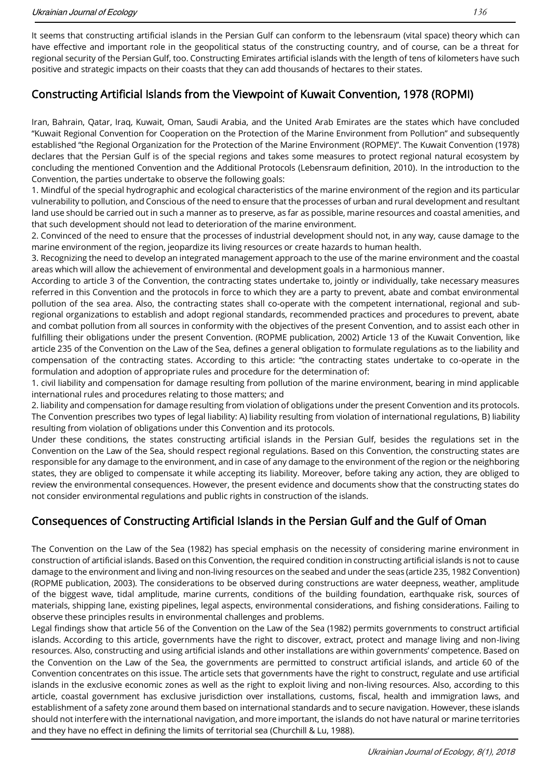It seems that constructing artificial islands in the Persian Gulf can conform to the lebensraum (vital space) theory which can have effective and important role in the geopolitical status of the constructing country, and of course, can be a threat for regional security of the Persian Gulf, too. Constructing Emirates artificial islands with the length of tens of kilometers have such positive and strategic impacts on their coasts that they can add thousands of hectares to their states.

#### Constructing Artificial Islands from the Viewpoint of Kuwait Convention, 1978 (ROPMI)

Iran, Bahrain, Qatar, Iraq, Kuwait, Oman, Saudi Arabia, and the United Arab Emirates are the states which have concluded "Kuwait Regional Convention for Cooperation on the Protection of the Marine Environment from Pollution" and subsequently established "the Regional Organization for the Protection of the Marine Environment (ROPME)". The Kuwait Convention (1978) declares that the Persian Gulf is of the special regions and takes some measures to protect regional natural ecosystem by concluding the mentioned Convention and the Additional Protocols (Lebensraum definition, 2010). In the introduction to the Convention, the parties undertake to observe the following goals:

1. Mindful of the special hydrographic and ecological characteristics of the marine environment of the region and its particular vulnerability to pollution, and Conscious of the need to ensure that the processes of urban and rural development and resultant land use should be carried out in such a manner as to preserve, as far as possible, marine resources and coastal amenities, and that such development should not lead to deterioration of the marine environment.

2. Convinced of the need to ensure that the processes of industrial development should not, in any way, cause damage to the marine environment of the region, jeopardize its living resources or create hazards to human health.

3. Recognizing the need to develop an integrated management approach to the use of the marine environment and the coastal areas which will allow the achievement of environmental and development goals in a harmonious manner.

According to article 3 of the Convention, the contracting states undertake to, jointly or individually, take necessary measures referred in this Convention and the protocols in force to which they are a party to prevent, abate and combat environmental pollution of the sea area. Also, the contracting states shall co-operate with the competent international, regional and subregional organizations to establish and adopt regional standards, recommended practices and procedures to prevent, abate and combat pollution from all sources in conformity with the objectives of the present Convention, and to assist each other in fulfilling their obligations under the present Convention. (ROPME publication, 2002) Article 13 of the Kuwait Convention, like article 235 of the Convention on the Law of the Sea, defines a general obligation to formulate regulations as to the liability and compensation of the contracting states. According to this article: "the contracting states undertake to co-operate in the formulation and adoption of appropriate rules and procedure for the determination of:

1. civil liability and compensation for damage resulting from pollution of the marine environment, bearing in mind applicable international rules and procedures relating to those matters; and

2. liability and compensation for damage resulting from violation of obligations under the present Convention and its protocols. The Convention prescribes two types of legal liability: A) liability resulting from violation of international regulations, B) liability resulting from violation of obligations under this Convention and its protocols.

Under these conditions, the states constructing artificial islands in the Persian Gulf, besides the regulations set in the Convention on the Law of the Sea, should respect regional regulations. Based on this Convention, the constructing states are responsible for any damage to the environment, and in case of any damage to the environment of the region or the neighboring states, they are obliged to compensate it while accepting its liability. Moreover, before taking any action, they are obliged to review the environmental consequences. However, the present evidence and documents show that the constructing states do not consider environmental regulations and public rights in construction of the islands.

### Consequences of Constructing Artificial Islands in the Persian Gulf and the Gulf of Oman

The Convention on the Law of the Sea (1982) has special emphasis on the necessity of considering marine environment in construction of artificial islands. Based on this Convention, the required condition in constructing artificial islands is not to cause damage to the environment and living and non-living resources on the seabed and under the seas (article 235, 1982 Convention) (ROPME publication, 2003). The considerations to be observed during constructions are water deepness, weather, amplitude of the biggest wave, tidal amplitude, marine currents, conditions of the building foundation, earthquake risk, sources of materials, shipping lane, existing pipelines, legal aspects, environmental considerations, and fishing considerations. Failing to observe these principles results in environmental challenges and problems.

Legal findings show that article 56 of the Convention on the Law of the Sea (1982) permits governments to construct artificial islands. According to this article, governments have the right to discover, extract, protect and manage living and non-living resources. Also, constructing and using artificial islands and other installations are within governments' competence. Based on the Convention on the Law of the Sea, the governments are permitted to construct artificial islands, and article 60 of the Convention concentrates on this issue. The article sets that governments have the right to construct, regulate and use artificial islands in the exclusive economic zones as well as the right to exploit living and non-living resources. Also, according to this article, coastal government has exclusive jurisdiction over installations, customs, fiscal, health and immigration laws, and establishment of a safety zone around them based on international standards and to secure navigation. However, these islands should not interfere with the international navigation, and more important, the islands do not have natural or marine territories and they have no effect in defining the limits of territorial sea (Churchill & Lu, 1988).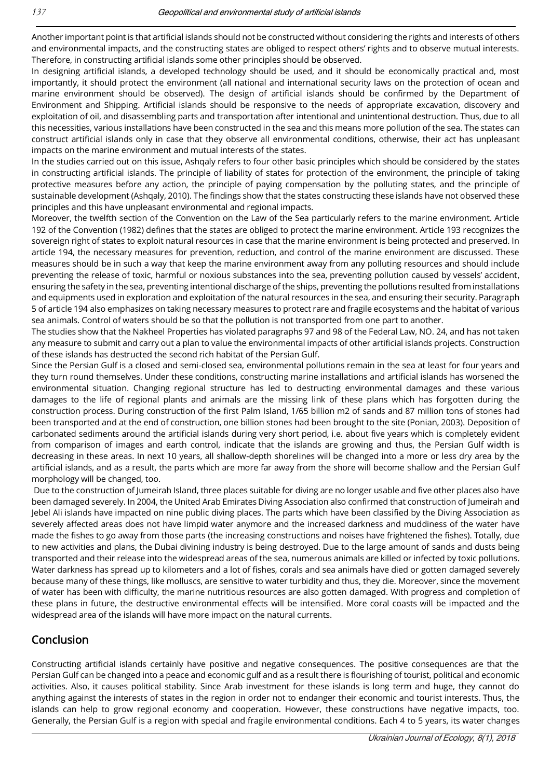Another important point is that artificial islands should not be constructed without considering the rights and interests of others and environmental impacts, and the constructing states are obliged to respect others' rights and to observe mutual interests. Therefore, in constructing artificial islands some other principles should be observed.

In designing artificial islands, a developed technology should be used, and it should be economically practical and, most importantly, it should protect the environment (all national and international security laws on the protection of ocean and marine environment should be observed). The design of artificial islands should be confirmed by the Department of Environment and Shipping. Artificial islands should be responsive to the needs of appropriate excavation, discovery and exploitation of oil, and disassembling parts and transportation after intentional and unintentional destruction. Thus, due to all this necessities, various installations have been constructed in the sea and this means more pollution of the sea. The states can construct artificial islands only in case that they observe all environmental conditions, otherwise, their act has unpleasant impacts on the marine environment and mutual interests of the states.

In the studies carried out on this issue, Ashqaly refers to four other basic principles which should be considered by the states in constructing artificial islands. The principle of liability of states for protection of the environment, the principle of taking protective measures before any action, the principle of paying compensation by the polluting states, and the principle of sustainable development (Ashqaly, 2010). The findings show that the states constructing these islands have not observed these principles and this have unpleasant environmental and regional impacts.

Moreover, the twelfth section of the Convention on the Law of the Sea particularly refers to the marine environment. Article 192 of the Convention (1982) defines that the states are obliged to protect the marine environment. Article 193 recognizes the sovereign right of states to exploit natural resources in case that the marine environment is being protected and preserved. In article 194, the necessary measures for prevention, reduction, and control of the marine environment are discussed. These measures should be in such a way that keep the marine environment away from any polluting resources and should include preventing the release of toxic, harmful or noxious substances into the sea, preventing pollution caused by vessels' accident, ensuring the safety in the sea, preventing intentional discharge of the ships, preventing the pollutions resulted from installations and equipments used in exploration and exploitation of the natural resources in the sea, and ensuring their security. Paragraph 5 of article 194 also emphasizes on taking necessary measures to protect rare and fragile ecosystems and the habitat of various sea animals. Control of waters should be so that the pollution is not transported from one part to another.

The studies show that the Nakheel Properties has violated paragraphs 97 and 98 of the Federal Law, NO. 24, and has not taken any measure to submit and carry out a plan to value the environmental impacts of other artificial islands projects. Construction of these islands has destructed the second rich habitat of the Persian Gulf.

Since the Persian Gulf is a closed and semi-closed sea, environmental pollutions remain in the sea at least for four years and they turn round themselves. Under these conditions, constructing marine installations and artificial islands has worsened the environmental situation. Changing regional structure has led to destructing environmental damages and these various damages to the life of regional plants and animals are the missing link of these plans which has forgotten during the construction process. During construction of the first Palm Island, 1/65 billion m2 of sands and 87 million tons of stones had been transported and at the end of construction, one billion stones had been brought to the site (Ponian, 2003). Deposition of carbonated sediments around the artificial islands during very short period, i.e. about five years which is completely evident from comparison of images and earth control, indicate that the islands are growing and thus, the Persian Gulf width is decreasing in these areas. In next 10 years, all shallow-depth shorelines will be changed into a more or less dry area by the artificial islands, and as a result, the parts which are more far away from the shore will become shallow and the Persian Gulf morphology will be changed, too.

Due to the construction of Jumeirah Island, three places suitable for diving are no longer usable and five other places also have been damaged severely. In 2004, the United Arab Emirates Diving Association also confirmed that construction of Jumeirah and Jebel Ali islands have impacted on nine public diving places. The parts which have been classified by the Diving Association as severely affected areas does not have limpid water anymore and the increased darkness and muddiness of the water have made the fishes to go away from those parts (the increasing constructions and noises have frightened the fishes). Totally, due to new activities and plans, the Dubai divining industry is being destroyed. Due to the large amount of sands and dusts being transported and their release into the widespread areas of the sea, numerous animals are killed or infected by toxic pollutions. Water darkness has spread up to kilometers and a lot of fishes, corals and sea animals have died or gotten damaged severely because many of these things, like molluscs, are sensitive to water turbidity and thus, they die. Moreover, since the movement of water has been with difficulty, the marine nutritious resources are also gotten damaged. With progress and completion of these plans in future, the destructive environmental effects will be intensified. More coral coasts will be impacted and the widespread area of the islands will have more impact on the natural currents.

#### Conclusion

Constructing artificial islands certainly have positive and negative consequences. The positive consequences are that the Persian Gulf can be changed into a peace and economic gulf and as a result there is flourishing of tourist, political and economic activities. Also, it causes political stability. Since Arab investment for these islands is long term and huge, they cannot do anything against the interests of states in the region in order not to endanger their economic and tourist interests. Thus, the islands can help to grow regional economy and cooperation. However, these constructions have negative impacts, too. Generally, the Persian Gulf is a region with special and fragile environmental conditions. Each 4 to 5 years, its water changes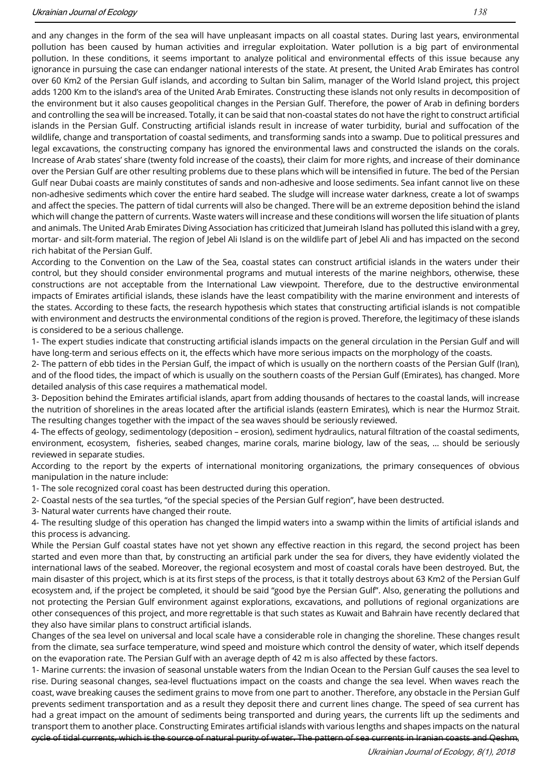and any changes in the form of the sea will have unpleasant impacts on all coastal states. During last years, environmental pollution has been caused by human activities and irregular exploitation. Water pollution is a big part of environmental pollution. In these conditions, it seems important to analyze political and environmental effects of this issue because any ignorance in pursuing the case can endanger national interests of the state. At present, the United Arab Emirates has control over 60 Km2 of the Persian Gulf islands, and according to Sultan bin Salim, manager of the World Island project, this project adds 1200 Km to the island's area of the United Arab Emirates. Constructing these islands not only results in decomposition of the environment but it also causes geopolitical changes in the Persian Gulf. Therefore, the power of Arab in defining borders and controlling the sea will be increased. Totally, it can be said that non-coastal states do not have the right to construct artificial islands in the Persian Gulf. Constructing artificial islands result in increase of water turbidity, burial and suffocation of the wildlife, change and transportation of coastal sediments, and transforming sands into a swamp. Due to political pressures and legal excavations, the constructing company has ignored the environmental laws and constructed the islands on the corals. Increase of Arab states' share (twenty fold increase of the coasts), their claim for more rights, and increase of their dominance over the Persian Gulf are other resulting problems due to these plans which will be intensified in future. The bed of the Persian Gulf near Dubai coasts are mainly constitutes of sands and non-adhesive and loose sediments. Sea infant cannot live on these non-adhesive sediments which cover the entire hard seabed. The sludge will increase water darkness, create a lot of swamps and affect the species. The pattern of tidal currents will also be changed. There will be an extreme deposition behind the island which will change the pattern of currents. Waste waters will increase and these conditions will worsen the life situation of plants and animals. The United Arab Emirates Diving Association has criticized that Jumeirah Island has polluted this island with a grey, mortar- and silt-form material. The region of Jebel Ali Island is on the wildlife part of Jebel Ali and has impacted on the second rich habitat of the Persian Gulf.

According to the Convention on the Law of the Sea, coastal states can construct artificial islands in the waters under their control, but they should consider environmental programs and mutual interests of the marine neighbors, otherwise, these constructions are not acceptable from the International Law viewpoint. Therefore, due to the destructive environmental impacts of Emirates artificial islands, these islands have the least compatibility with the marine environment and interests of the states. According to these facts, the research hypothesis which states that constructing artificial islands is not compatible with environment and destructs the environmental conditions of the region is proved. Therefore, the legitimacy of these islands is considered to be a serious challenge.

1- The expert studies indicate that constructing artificial islands impacts on the general circulation in the Persian Gulf and will have long-term and serious effects on it, the effects which have more serious impacts on the morphology of the coasts.

2- The pattern of ebb tides in the Persian Gulf, the impact of which is usually on the northern coasts of the Persian Gulf (Iran), and of the flood tides, the impact of which is usually on the southern coasts of the Persian Gulf (Emirates), has changed. More detailed analysis of this case requires a mathematical model.

3- Deposition behind the Emirates artificial islands, apart from adding thousands of hectares to the coastal lands, will increase the nutrition of shorelines in the areas located after the artificial islands (eastern Emirates), which is near the Hurmoz Strait. The resulting changes together with the impact of the sea waves should be seriously reviewed.

4- The effects of geology, sedimentology (deposition – erosion), sediment hydraulics, natural filtration of the coastal sediments, environment, ecosystem, fisheries, seabed changes, marine corals, marine biology, law of the seas, … should be seriously reviewed in separate studies.

According to the report by the experts of international monitoring organizations, the primary consequences of obvious manipulation in the nature include:

1- The sole recognized coral coast has been destructed during this operation.

2- Coastal nests of the sea turtles, "of the special species of the Persian Gulf region", have been destructed.

3- Natural water currents have changed their route.

4- The resulting sludge of this operation has changed the limpid waters into a swamp within the limits of artificial islands and this process is advancing.

While the Persian Gulf coastal states have not yet shown any effective reaction in this regard, the second project has been started and even more than that, by constructing an artificial park under the sea for divers, they have evidently violated the international laws of the seabed. Moreover, the regional ecosystem and most of coastal corals have been destroyed. But, the main disaster of this project, which is at its first steps of the process, is that it totally destroys about 63 Km2 of the Persian Gulf ecosystem and, if the project be completed, it should be said "good bye the Persian Gulf". Also, generating the pollutions and not protecting the Persian Gulf environment against explorations, excavations, and pollutions of regional organizations are other consequences of this project, and more regrettable is that such states as Kuwait and Bahrain have recently declared that they also have similar plans to construct artificial islands.

Changes of the sea level on universal and local scale have a considerable role in changing the shoreline. These changes result from the climate, sea surface temperature, wind speed and moisture which control the density of water, which itself depends on the evaporation rate. The Persian Gulf with an average depth of 42 m is also affected by these factors.

1- Marine currents: the invasion of seasonal unstable waters from the Indian Ocean to the Persian Gulf causes the sea level to rise. During seasonal changes, sea-level fluctuations impact on the coasts and change the sea level. When waves reach the coast, wave breaking causes the sediment grains to move from one part to another. Therefore, any obstacle in the Persian Gulf prevents sediment transportation and as a result they deposit there and current lines change. The speed of sea current has had a great impact on the amount of sediments being transported and during years, the currents lift up the sediments and transport them to another place. Constructing Emirates artificial islands with various lengths and shapes impacts on the natural cycle of tidal currents, which is the source of natural purity of water. The pattern of sea currents in Iranian coasts and Qeshm,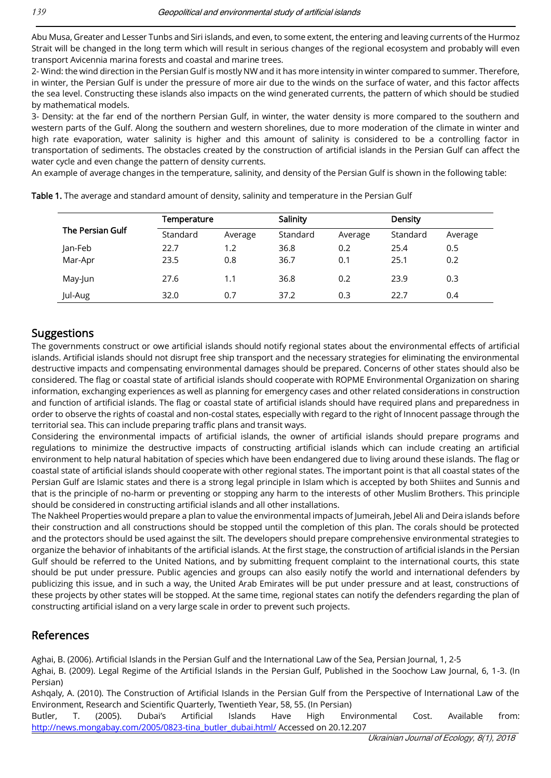Abu Musa, Greater and Lesser Tunbs and Siri islands, and even, to some extent, the entering and leaving currents of the Hurmoz Strait will be changed in the long term which will result in serious changes of the regional ecosystem and probably will even transport Avicennia marina forests and coastal and marine trees.

2- Wind: the wind direction in the Persian Gulf is mostly NW and it has more intensity in winter compared to summer. Therefore, in winter, the Persian Gulf is under the pressure of more air due to the winds on the surface of water, and this factor affects the sea level. Constructing these islands also impacts on the wind generated currents, the pattern of which should be studied by mathematical models.

3- Density: at the far end of the northern Persian Gulf, in winter, the water density is more compared to the southern and western parts of the Gulf. Along the southern and western shorelines, due to more moderation of the climate in winter and high rate evaporation, water salinity is higher and this amount of salinity is considered to be a controlling factor in transportation of sediments. The obstacles created by the construction of artificial islands in the Persian Gulf can affect the water cycle and even change the pattern of density currents.

An example of average changes in the temperature, salinity, and density of the Persian Gulf is shown in the following table:

| <b>The Persian Gulf</b> | Temperature |         | Salinity |         | <b>Density</b> |         |
|-------------------------|-------------|---------|----------|---------|----------------|---------|
|                         | Standard    | Average | Standard | Average | Standard       | Average |
| Jan-Feb                 | 22.7        | 1.2     | 36.8     | 0.2     | 25.4           | 0.5     |
| Mar-Apr                 | 23.5        | 0.8     | 36.7     | 0.1     | 25.1           | 0.2     |
| May-Jun                 | 27.6        | 1.1     | 36.8     | 0.2     | 23.9           | 0.3     |
| Jul-Aug                 | 32.0        | 0.7     | 37.2     | 0.3     | 22.7           | 0.4     |

Table 1. The average and standard amount of density, salinity and temperature in the Persian Gulf

#### Suggestions

The governments construct or owe artificial islands should notify regional states about the environmental effects of artificial islands. Artificial islands should not disrupt free ship transport and the necessary strategies for eliminating the environmental destructive impacts and compensating environmental damages should be prepared. Concerns of other states should also be considered. The flag or coastal state of artificial islands should cooperate with ROPME Environmental Organization on sharing information, exchanging experiences as well as planning for emergency cases and other related considerations in construction and function of artificial islands. The flag or coastal state of artificial islands should have required plans and preparedness in order to observe the rights of coastal and non-costal states, especially with regard to the right of Innocent passage through the territorial sea. This can include preparing traffic plans and transit ways.

Considering the environmental impacts of artificial islands, the owner of artificial islands should prepare programs and regulations to minimize the destructive impacts of constructing artificial islands which can include creating an artificial environment to help natural habitation of species which have been endangered due to living around these islands. The flag or coastal state of artificial islands should cooperate with other regional states. The important point is that all coastal states of the Persian Gulf are Islamic states and there is a strong legal principle in Islam which is accepted by both Shiites and Sunnis and that is the principle of no-harm or preventing or stopping any harm to the interests of other Muslim Brothers. This principle should be considered in constructing artificial islands and all other installations.

The Nakheel Properties would prepare a plan to value the environmental impacts of Jumeirah, Jebel Ali and Deira islands before their construction and all constructions should be stopped until the completion of this plan. The corals should be protected and the protectors should be used against the silt. The developers should prepare comprehensive environmental strategies to organize the behavior of inhabitants of the artificial islands. At the first stage, the construction of artificial islands in the Persian Gulf should be referred to the United Nations, and by submitting frequent complaint to the international courts, this state should be put under pressure. Public agencies and groups can also easily notify the world and international defenders by publicizing this issue, and in such a way, the United Arab Emirates will be put under pressure and at least, constructions of these projects by other states will be stopped. At the same time, regional states can notify the defenders regarding the plan of constructing artificial island on a very large scale in order to prevent such projects.

#### References

Aghai, B. (2006). Artificial Islands in the Persian Gulf and the International Law of the Sea, Persian Journal, 1, 2-5

Aghai, B. (2009). Legal Regime of the Artificial Islands in the Persian Gulf, Published in the Soochow Law Journal, 6, 1-3. (In Persian)

Ashqaly, A. (2010). The Construction of Artificial Islands in the Persian Gulf from the Perspective of International Law of the Environment, Research and Scientific Quarterly, Twentieth Year, 58, 55. (In Persian)

Butler, T. (2005). Dubai's Artificial Islands Have High Environmental Cost. Available from: [http://news.mongabay.com/2005/0823-tina\\_butler\\_dubai.html/](http://news.mongabay.com/2005/0823-tina_butler_dubai.html/) Accessed on 20.12.207